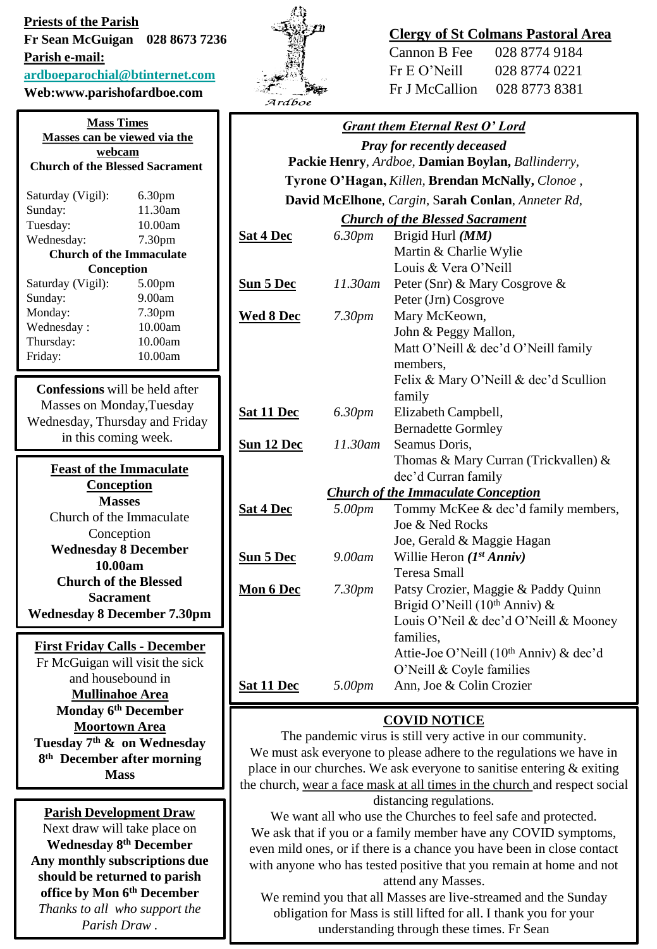**Priests of the Parish Fr Sean McGuigan 028 8673 7236 Parish e-mail: [ardboeparochial@btinternet.com](mailto:ardboeparochial@btinternet.com)**

**Web:www.parishofardboe.com**

| <b>Mass Times</b><br><b>Masses can be viewed via the</b><br>webcam<br><b>Church of the Blessed Sacrament</b>                 |         |  |
|------------------------------------------------------------------------------------------------------------------------------|---------|--|
|                                                                                                                              |         |  |
| Sunday:                                                                                                                      | 11.30am |  |
| Tuesday:                                                                                                                     | 10.00am |  |
| Wednesday:                                                                                                                   | 7.30pm  |  |
| <b>Church of the Immaculate</b>                                                                                              |         |  |
| Conception                                                                                                                   |         |  |
| Saturday (Vigil):                                                                                                            | 5.00pm  |  |
| Sunday:                                                                                                                      | 9.00am  |  |
| Monday:                                                                                                                      | 7.30pm  |  |
| Wednesday:                                                                                                                   | 10.00am |  |
| Thursday:                                                                                                                    | 10.00am |  |
| Friday:                                                                                                                      | 10.00am |  |
|                                                                                                                              |         |  |
| <b>Confessions</b> will be held after<br>Masses on Monday, Tuesday<br>Wednesday, Thursday and Friday<br>in this coming week. |         |  |
| <b>Feast of the Immaculate</b><br>Conception                                                                                 |         |  |

| Conception                         |  |  |
|------------------------------------|--|--|
| <b>Masses</b>                      |  |  |
| Church of the Immaculate           |  |  |
| Conception                         |  |  |
| <b>Wednesday 8 December</b>        |  |  |
| 10.00am                            |  |  |
| <b>Church of the Blessed</b>       |  |  |
| <b>Sacrament</b>                   |  |  |
| <b>Wednesday 8 December 7.30pm</b> |  |  |
|                                    |  |  |

**First Friday Calls - December** Fr McGuigan will visit the sick and housebound in **Mullinahoe Area Monday 6th December Moortown Area Tuesday 7th & on Wednesday 8 th December after morning Mass** 

**Parish Development Draw** Next draw will take place on **Wednesday 8th December Any monthly subscriptions due should be returned to parish office by Mon 6th December** *Thanks to all who support the* 

*Parish Draw .*



## **Clergy of St Colmans Pastoral Area**

| Cannon B Fee   | 028 8774 9184 |
|----------------|---------------|
| Fr E O' Neill  | 028 8774 0221 |
| Fr J McCallion | 028 8773 8381 |

# *Grant them Eternal Rest O' Lord Pray for recently deceased* **Packie Henry**, *Ardboe,* **Damian Boylan,** *Ballinderry,*  **Tyrone O'Hagan,** *Killen,* **Brendan McNally,** *Clonoe ,* **David McElhone**, *Cargin,* S**arah Conlan**, *Anneter Rd,*

#### *Church of the Blessed Sacrament*

| <b>Sat 4 Dec</b>                           | 6.30pm             | Brigid Hurl (MM)                                   |
|--------------------------------------------|--------------------|----------------------------------------------------|
|                                            |                    | Martin & Charlie Wylie                             |
|                                            |                    | Louis & Vera O'Neill                               |
| <b>Sun 5 Dec</b>                           | 11.30am            | Peter (Snr) & Mary Cosgrove &                      |
|                                            |                    | Peter (Jrn) Cosgrove                               |
| <b>Wed 8 Dec</b>                           | 7.30 <sub>pm</sub> | Mary McKeown,                                      |
|                                            |                    | John & Peggy Mallon,                               |
|                                            |                    | Matt O'Neill & dec'd O'Neill family                |
|                                            |                    | members.                                           |
|                                            |                    | Felix & Mary O'Neill & dec'd Scullion              |
|                                            |                    | family                                             |
| <b>Sat 11 Dec</b>                          | 6.30pm             | Elizabeth Campbell,                                |
|                                            |                    | <b>Bernadette Gormley</b>                          |
| <b>Sun 12 Dec</b>                          | $11.30$ am         | Seamus Doris,                                      |
|                                            |                    | Thomas & Mary Curran (Trickvallen) &               |
|                                            |                    | dec'd Curran family                                |
| <b>Church of the Immaculate Conception</b> |                    |                                                    |
| <b>Sat 4 Dec</b>                           | 5.00pm             | Tommy McKee & dec'd family members,                |
|                                            |                    | Joe & Ned Rocks                                    |
|                                            |                    | Joe, Gerald & Maggie Hagan                         |
| <b>Sun 5 Dec</b>                           | 9.00am             | Willie Heron $(I^{st} Anniv)$                      |
|                                            |                    | Teresa Small                                       |
| <b>Mon 6 Dec</b>                           | 7.30 <sub>pm</sub> | Patsy Crozier, Maggie & Paddy Quinn                |
|                                            |                    | Brigid O'Neill (10 <sup>th</sup> Anniv) &          |
|                                            |                    | Louis O'Neil & dec'd O'Neill & Mooney              |
|                                            |                    | families.                                          |
|                                            |                    | Attie-Joe O'Neill (10 <sup>th</sup> Anniv) & dec'd |
|                                            |                    | O'Neill & Coyle families                           |
| <b>Sat 11 Dec</b>                          | 5.00pm             | Ann, Joe & Colin Crozier                           |
|                                            |                    |                                                    |

### **COVID NOTICE**

The pandemic virus is still very active in our community. We must ask everyone to please adhere to the regulations we have in place in our churches. We ask everyone to sanitise entering & exiting the church, wear a face mask at all times in the church and respect social distancing regulations.

We want all who use the Churches to feel safe and protected. We ask that if you or a family member have any COVID symptoms, even mild ones, or if there is a chance you have been in close contact with anyone who has tested positive that you remain at home and not attend any Masses.

We remind you that all Masses are live-streamed and the Sunday obligation for Mass is still lifted for all. I thank you for your understanding through these times. Fr Sean